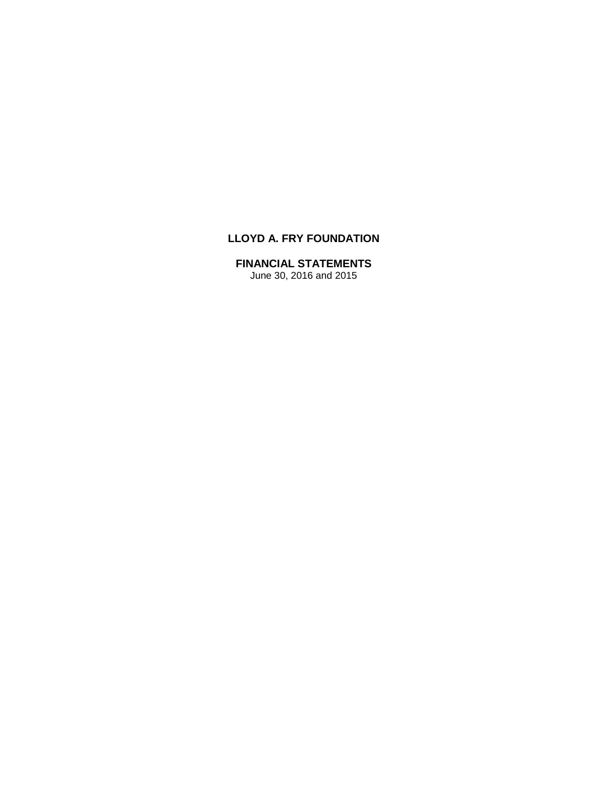# **LLOYD A. FRY FOUNDATION**

## **FINANCIAL STATEMENTS**

June 30, 2016 and 2015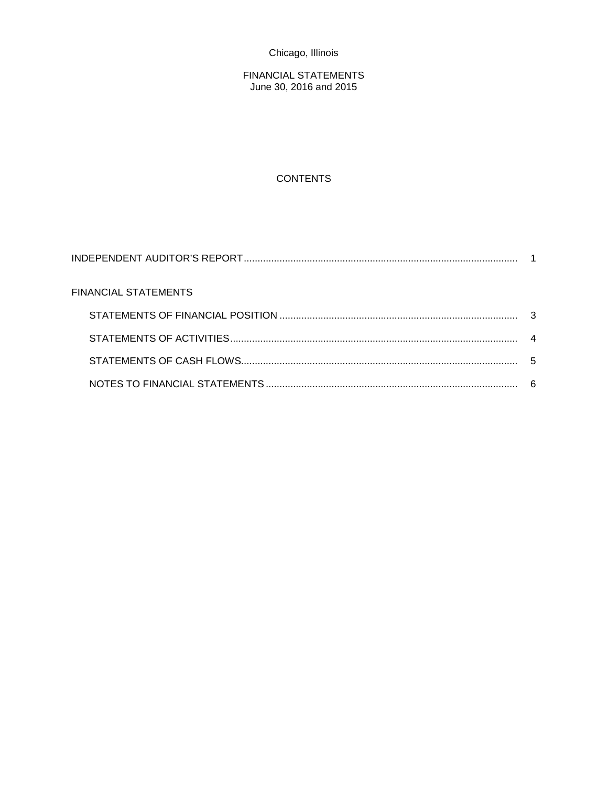# Chicago, Illinois

### **FINANCIAL STATEMENTS** June 30, 2016 and 2015

# **CONTENTS**

| FINANCIAL STATEMENTS |   |
|----------------------|---|
|                      |   |
|                      |   |
|                      | 5 |
|                      |   |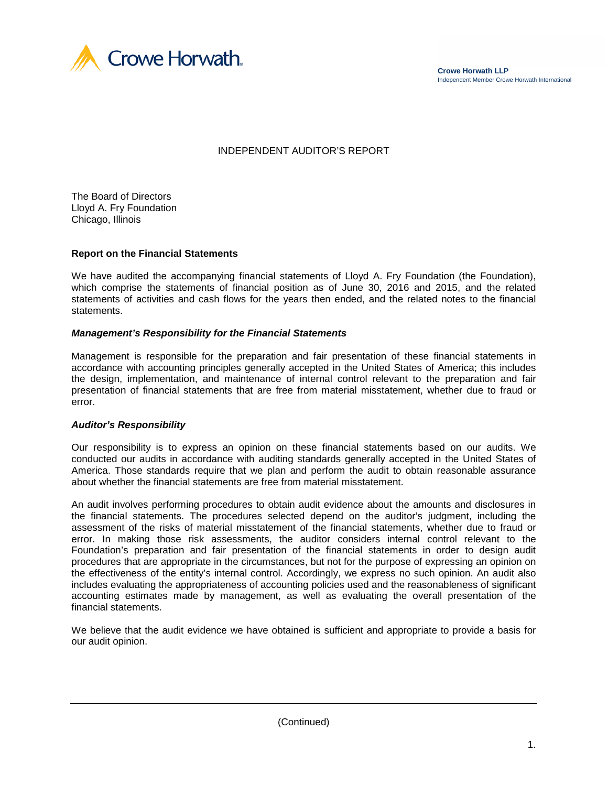

## INDEPENDENT AUDITOR'S REPORT

The Board of Directors Lloyd A. Fry Foundation Chicago, Illinois

#### **Report on the Financial Statements**

We have audited the accompanying financial statements of Lloyd A. Fry Foundation (the Foundation), which comprise the statements of financial position as of June 30, 2016 and 2015, and the related statements of activities and cash flows for the years then ended, and the related notes to the financial statements.

#### *Management's Responsibility for the Financial Statements*

Management is responsible for the preparation and fair presentation of these financial statements in accordance with accounting principles generally accepted in the United States of America; this includes the design, implementation, and maintenance of internal control relevant to the preparation and fair presentation of financial statements that are free from material misstatement, whether due to fraud or error.

#### *Auditor's Responsibility*

Our responsibility is to express an opinion on these financial statements based on our audits. We conducted our audits in accordance with auditing standards generally accepted in the United States of America. Those standards require that we plan and perform the audit to obtain reasonable assurance about whether the financial statements are free from material misstatement.

An audit involves performing procedures to obtain audit evidence about the amounts and disclosures in the financial statements. The procedures selected depend on the auditor's judgment, including the assessment of the risks of material misstatement of the financial statements, whether due to fraud or error. In making those risk assessments, the auditor considers internal control relevant to the Foundation's preparation and fair presentation of the financial statements in order to design audit procedures that are appropriate in the circumstances, but not for the purpose of expressing an opinion on the effectiveness of the entity's internal control. Accordingly, we express no such opinion. An audit also includes evaluating the appropriateness of accounting policies used and the reasonableness of significant accounting estimates made by management, as well as evaluating the overall presentation of the financial statements.

We believe that the audit evidence we have obtained is sufficient and appropriate to provide a basis for our audit opinion.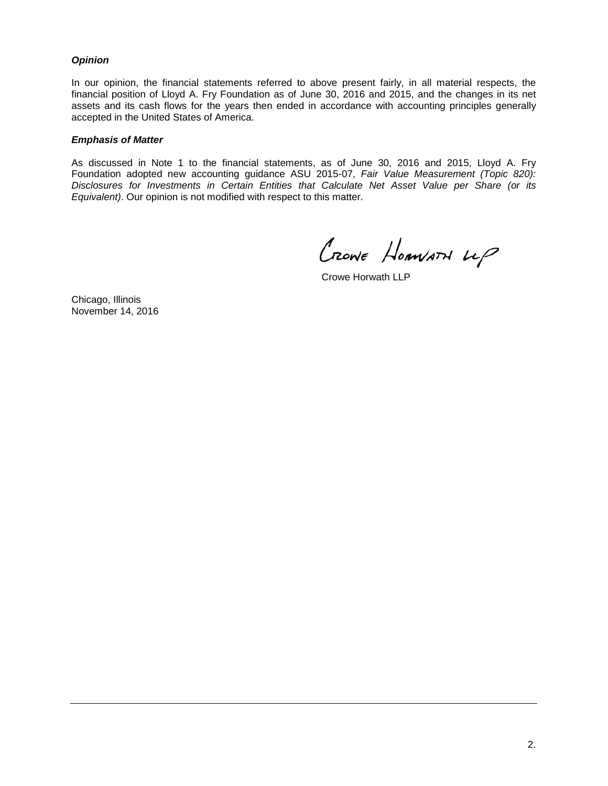### *Opinion*

In our opinion, the financial statements referred to above present fairly, in all material respects, the financial position of Lloyd A. Fry Foundation as of June 30, 2016 and 2015, and the changes in its net assets and its cash flows for the years then ended in accordance with accounting principles generally accepted in the United States of America.

#### *Emphasis of Matter*

As discussed in Note 1 to the financial statements, as of June 30, 2016 and 2015, Lloyd A. Fry Foundation adopted new accounting guidance ASU 2015-07, *Fair Value Measurement (Topic 820): Disclosures for Investments in Certain Entities that Calculate Net Asset Value per Share (or its Equivalent)*. Our opinion is not modified with respect to this matter.

Crowe Hommarn up

Crowe Horwath LLP

Chicago, Illinois November 14, 2016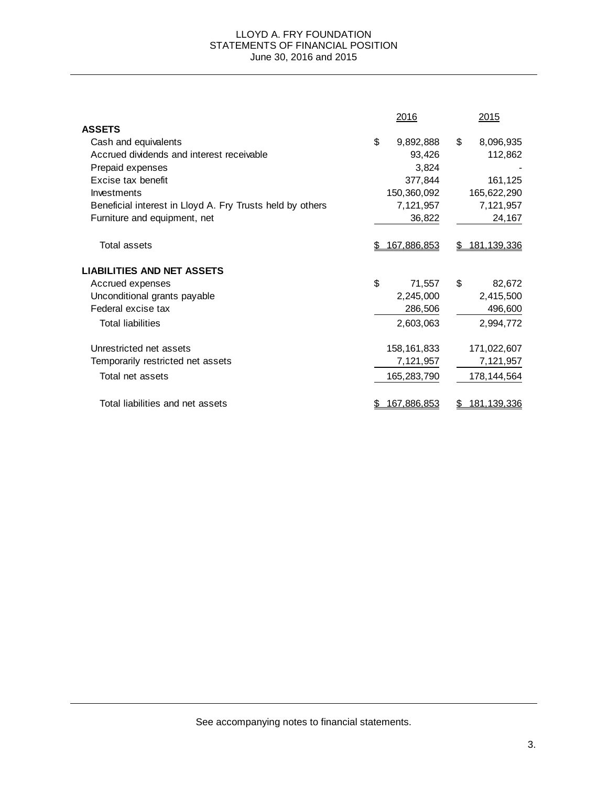#### LLOYD A. FRY FOUNDATION STATEMENTS OF FINANCIAL POSITION June 30, 2016 and 2015

|                                                           | 2016               | 2015               |
|-----------------------------------------------------------|--------------------|--------------------|
| <b>ASSETS</b>                                             |                    |                    |
| Cash and equivalents                                      | \$<br>9,892,888    | \$<br>8,096,935    |
| Accrued dividends and interest receivable                 | 93,426             | 112,862            |
| Prepaid expenses                                          | 3,824              |                    |
| Excise tax benefit                                        | 377,844            | 161,125            |
| Investments                                               | 150,360,092        | 165,622,290        |
| Beneficial interest in Lloyd A. Fry Trusts held by others | 7,121,957          | 7,121,957          |
| Furniture and equipment, net                              | 36,822             | 24,167             |
| Total assets                                              | 167,886,853        | \$181,139,336      |
| <b>LIABILITIES AND NET ASSETS</b>                         |                    |                    |
| Accrued expenses                                          | \$<br>71,557       | \$<br>82,672       |
| Unconditional grants payable                              | 2,245,000          | 2,415,500          |
| Federal excise tax                                        | 286,506            | 496,600            |
| <b>Total liabilities</b>                                  | 2,603,063          | 2,994,772          |
| Unrestricted net assets                                   | 158, 161, 833      | 171,022,607        |
| Temporarily restricted net assets                         | 7,121,957          | 7,121,957          |
| Total net assets                                          | 165,283,790        | 178, 144, 564      |
| Total liabilities and net assets                          | <u>167,886,853</u> | <u>181,139,336</u> |

See accompanying notes to financial statements.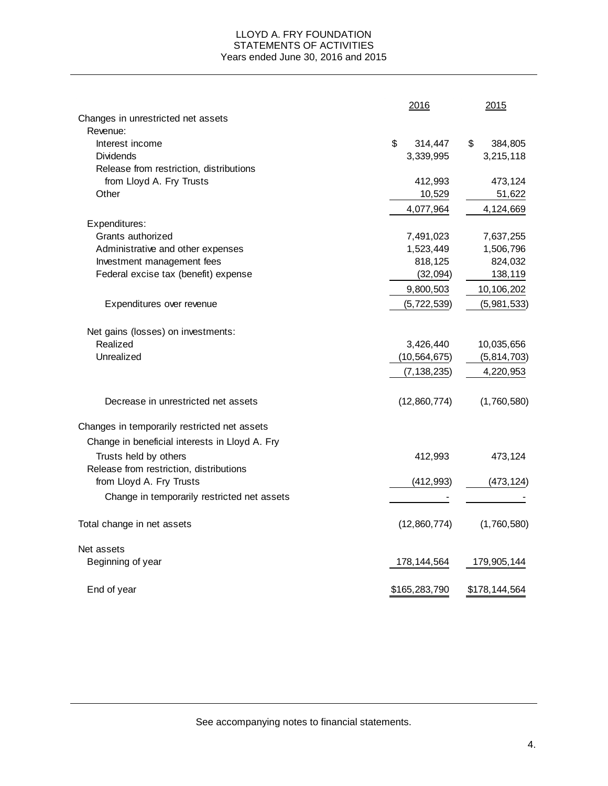#### LLOYD A. FRY FOUNDATION STATEMENTS OF ACTIVITIES Years ended June 30, 2016 and 2015

|                                                | 2016           | 2015          |
|------------------------------------------------|----------------|---------------|
| Changes in unrestricted net assets             |                |               |
| Revenue:                                       |                |               |
| Interest income                                | \$<br>314,447  | \$<br>384,805 |
| Dividends                                      | 3,339,995      | 3,215,118     |
| Release from restriction, distributions        |                |               |
| from Lloyd A. Fry Trusts                       | 412,993        | 473,124       |
| Other                                          | 10,529         | 51,622        |
|                                                | 4,077,964      | 4,124,669     |
| Expenditures:                                  |                |               |
| Grants authorized                              | 7,491,023      | 7,637,255     |
| Administrative and other expenses              | 1,523,449      | 1,506,796     |
| Investment management fees                     | 818,125        | 824,032       |
| Federal excise tax (benefit) expense           | (32,094)       | 138,119       |
|                                                | 9,800,503      | 10,106,202    |
| Expenditures over revenue                      | (5,722,539)    | (5,981,533)   |
| Net gains (losses) on investments:             |                |               |
| Realized                                       | 3,426,440      | 10,035,656    |
| Unrealized                                     | (10, 564, 675) | (5,814,703)   |
|                                                |                |               |
|                                                | (7, 138, 235)  | 4,220,953     |
| Decrease in unrestricted net assets            | (12,860,774)   | (1,760,580)   |
| Changes in temporarily restricted net assets   |                |               |
| Change in beneficial interests in Lloyd A. Fry |                |               |
| Trusts held by others                          | 412,993        | 473,124       |
| Release from restriction, distributions        |                |               |
| from Lloyd A. Fry Trusts                       | (412, 993)     | (473, 124)    |
| Change in temporarily restricted net assets    |                |               |
| Total change in net assets                     | (12,860,774)   | (1,760,580)   |
|                                                |                |               |
| Net assets                                     |                |               |
| Beginning of year                              | 178,144,564    | 179,905,144   |
| End of year                                    | \$165,283,790  | \$178,144,564 |

See accompanying notes to financial statements.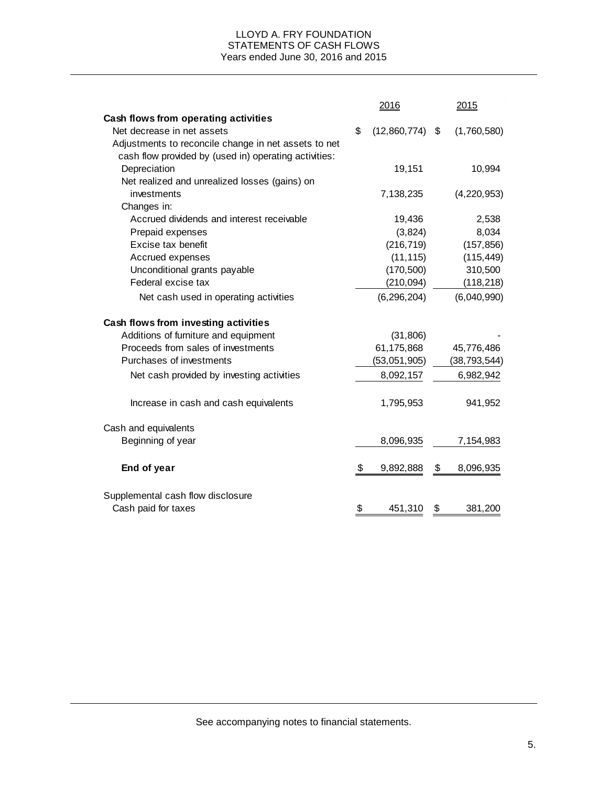#### LLOYD A. FRY FOUNDATION STATEMENTS OF CASH FLOWS Years ended June 30, 2016 and 2015

|                                                       | 2016 |                   |    | 2015           |  |  |
|-------------------------------------------------------|------|-------------------|----|----------------|--|--|
| Cash flows from operating activities                  |      |                   |    |                |  |  |
| Net decrease in net assets                            | \$   | $(12,860,774)$ \$ |    | (1,760,580)    |  |  |
| Adjustments to reconcile change in net assets to net  |      |                   |    |                |  |  |
| cash flow provided by (used in) operating activities: |      |                   |    |                |  |  |
| Depreciation                                          |      | 19,151            |    | 10,994         |  |  |
| Net realized and unrealized losses (gains) on         |      |                   |    |                |  |  |
| investments                                           |      | 7,138,235         |    | (4, 220, 953)  |  |  |
| Changes in:                                           |      |                   |    |                |  |  |
| Accrued dividends and interest receivable             |      | 19,436            |    | 2,538          |  |  |
| Prepaid expenses                                      |      | (3,824)           |    | 8,034          |  |  |
| Excise tax benefit                                    |      | (216, 719)        |    | (157, 856)     |  |  |
| Accrued expenses                                      |      | (11, 115)         |    | (115, 449)     |  |  |
| Unconditional grants payable                          |      | (170, 500)        |    | 310,500        |  |  |
| Federal excise tax                                    |      | (210, 094)        |    | (118, 218)     |  |  |
| Net cash used in operating activities                 |      | (6, 296, 204)     |    | (6,040,990)    |  |  |
| Cash flows from investing activities                  |      |                   |    |                |  |  |
| Additions of furniture and equipment                  |      | (31, 806)         |    |                |  |  |
| Proceeds from sales of investments                    |      | 61,175,868        |    | 45,776,486     |  |  |
| Purchases of investments                              |      | (53,051,905)      |    | (38, 793, 544) |  |  |
| Net cash provided by investing activities             |      | 8,092,157         |    | 6,982,942      |  |  |
| Increase in cash and cash equivalents                 |      | 1,795,953         |    | 941,952        |  |  |
| Cash and equivalents                                  |      |                   |    |                |  |  |
| Beginning of year                                     |      | 8,096,935         |    | 7,154,983      |  |  |
| End of year                                           | \$   | 9,892,888         | \$ | 8,096,935      |  |  |
| Supplemental cash flow disclosure                     |      |                   |    |                |  |  |
| Cash paid for taxes                                   | \$   | 451,310           | \$ | 381,200        |  |  |

See accompanying notes to financial statements.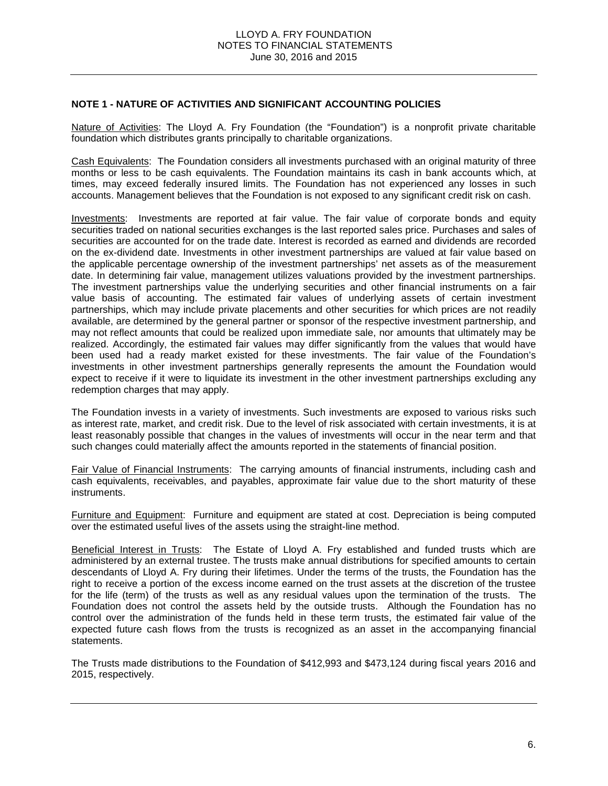### **NOTE 1 - NATURE OF ACTIVITIES AND SIGNIFICANT ACCOUNTING POLICIES**

Nature of Activities: The Lloyd A. Fry Foundation (the "Foundation") is a nonprofit private charitable foundation which distributes grants principally to charitable organizations.

Cash Equivalents: The Foundation considers all investments purchased with an original maturity of three months or less to be cash equivalents. The Foundation maintains its cash in bank accounts which, at times, may exceed federally insured limits. The Foundation has not experienced any losses in such accounts. Management believes that the Foundation is not exposed to any significant credit risk on cash.

Investments: Investments are reported at fair value. The fair value of corporate bonds and equity securities traded on national securities exchanges is the last reported sales price. Purchases and sales of securities are accounted for on the trade date. Interest is recorded as earned and dividends are recorded on the ex-dividend date. Investments in other investment partnerships are valued at fair value based on the applicable percentage ownership of the investment partnerships' net assets as of the measurement date. In determining fair value, management utilizes valuations provided by the investment partnerships. The investment partnerships value the underlying securities and other financial instruments on a fair value basis of accounting. The estimated fair values of underlying assets of certain investment partnerships, which may include private placements and other securities for which prices are not readily available, are determined by the general partner or sponsor of the respective investment partnership, and may not reflect amounts that could be realized upon immediate sale, nor amounts that ultimately may be realized. Accordingly, the estimated fair values may differ significantly from the values that would have been used had a ready market existed for these investments. The fair value of the Foundation's investments in other investment partnerships generally represents the amount the Foundation would expect to receive if it were to liquidate its investment in the other investment partnerships excluding any redemption charges that may apply.

The Foundation invests in a variety of investments. Such investments are exposed to various risks such as interest rate, market, and credit risk. Due to the level of risk associated with certain investments, it is at least reasonably possible that changes in the values of investments will occur in the near term and that such changes could materially affect the amounts reported in the statements of financial position.

Fair Value of Financial Instruments: The carrying amounts of financial instruments, including cash and cash equivalents, receivables, and payables, approximate fair value due to the short maturity of these instruments.

Furniture and Equipment: Furniture and equipment are stated at cost. Depreciation is being computed over the estimated useful lives of the assets using the straight-line method.

Beneficial Interest in Trusts: The Estate of Lloyd A. Fry established and funded trusts which are administered by an external trustee. The trusts make annual distributions for specified amounts to certain descendants of Lloyd A. Fry during their lifetimes. Under the terms of the trusts, the Foundation has the right to receive a portion of the excess income earned on the trust assets at the discretion of the trustee for the life (term) of the trusts as well as any residual values upon the termination of the trusts. The Foundation does not control the assets held by the outside trusts. Although the Foundation has no control over the administration of the funds held in these term trusts, the estimated fair value of the expected future cash flows from the trusts is recognized as an asset in the accompanying financial statements.

The Trusts made distributions to the Foundation of \$412,993 and \$473,124 during fiscal years 2016 and 2015, respectively.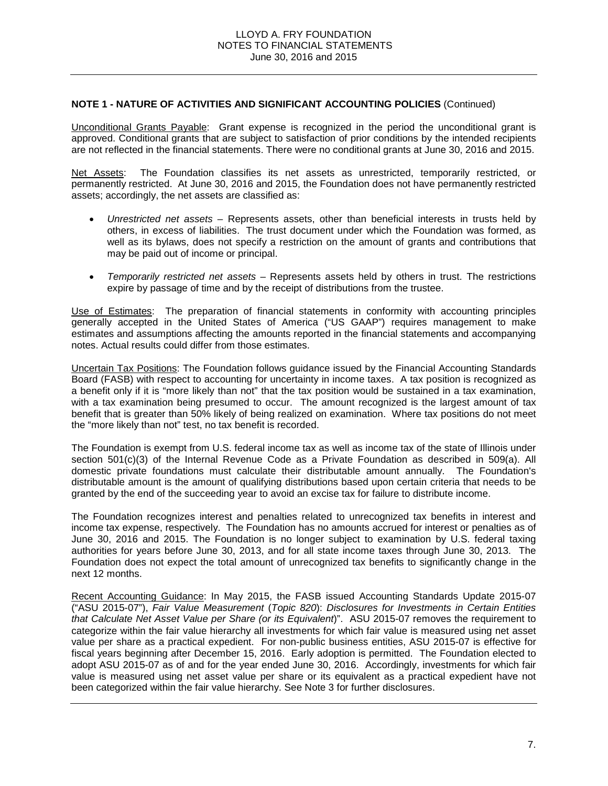## **NOTE 1 - NATURE OF ACTIVITIES AND SIGNIFICANT ACCOUNTING POLICIES** (Continued)

Unconditional Grants Payable: Grant expense is recognized in the period the unconditional grant is approved. Conditional grants that are subject to satisfaction of prior conditions by the intended recipients are not reflected in the financial statements. There were no conditional grants at June 30, 2016 and 2015.

Net Assets: The Foundation classifies its net assets as unrestricted, temporarily restricted, or permanently restricted. At June 30, 2016 and 2015, the Foundation does not have permanently restricted assets; accordingly, the net assets are classified as:

- *Unrestricted net assets* Represents assets, other than beneficial interests in trusts held by others, in excess of liabilities. The trust document under which the Foundation was formed, as well as its bylaws, does not specify a restriction on the amount of grants and contributions that may be paid out of income or principal.
- *Temporarily restricted net assets*  Represents assets held by others in trust. The restrictions expire by passage of time and by the receipt of distributions from the trustee.

Use of Estimates: The preparation of financial statements in conformity with accounting principles generally accepted in the United States of America ("US GAAP") requires management to make estimates and assumptions affecting the amounts reported in the financial statements and accompanying notes. Actual results could differ from those estimates.

Uncertain Tax Positions: The Foundation follows guidance issued by the Financial Accounting Standards Board (FASB) with respect to accounting for uncertainty in income taxes. A tax position is recognized as a benefit only if it is "more likely than not" that the tax position would be sustained in a tax examination, with a tax examination being presumed to occur. The amount recognized is the largest amount of tax benefit that is greater than 50% likely of being realized on examination. Where tax positions do not meet the "more likely than not" test, no tax benefit is recorded.

The Foundation is exempt from U.S. federal income tax as well as income tax of the state of Illinois under section 501(c)(3) of the Internal Revenue Code as a Private Foundation as described in 509(a). All domestic private foundations must calculate their distributable amount annually. The Foundation's distributable amount is the amount of qualifying distributions based upon certain criteria that needs to be granted by the end of the succeeding year to avoid an excise tax for failure to distribute income.

The Foundation recognizes interest and penalties related to unrecognized tax benefits in interest and income tax expense, respectively. The Foundation has no amounts accrued for interest or penalties as of June 30, 2016 and 2015. The Foundation is no longer subject to examination by U.S. federal taxing authorities for years before June 30, 2013, and for all state income taxes through June 30, 2013. The Foundation does not expect the total amount of unrecognized tax benefits to significantly change in the next 12 months.

Recent Accounting Guidance: In May 2015, the FASB issued Accounting Standards Update 2015-07 ("ASU 2015-07"), *Fair Value Measurement* (*Topic 820*): *Disclosures for Investments in Certain Entities that Calculate Net Asset Value per Share (or its Equivalent*)". ASU 2015-07 removes the requirement to categorize within the fair value hierarchy all investments for which fair value is measured using net asset value per share as a practical expedient. For non-public business entities, ASU 2015-07 is effective for fiscal years beginning after December 15, 2016. Early adoption is permitted. The Foundation elected to adopt ASU 2015-07 as of and for the year ended June 30, 2016. Accordingly, investments for which fair value is measured using net asset value per share or its equivalent as a practical expedient have not been categorized within the fair value hierarchy. See Note 3 for further disclosures.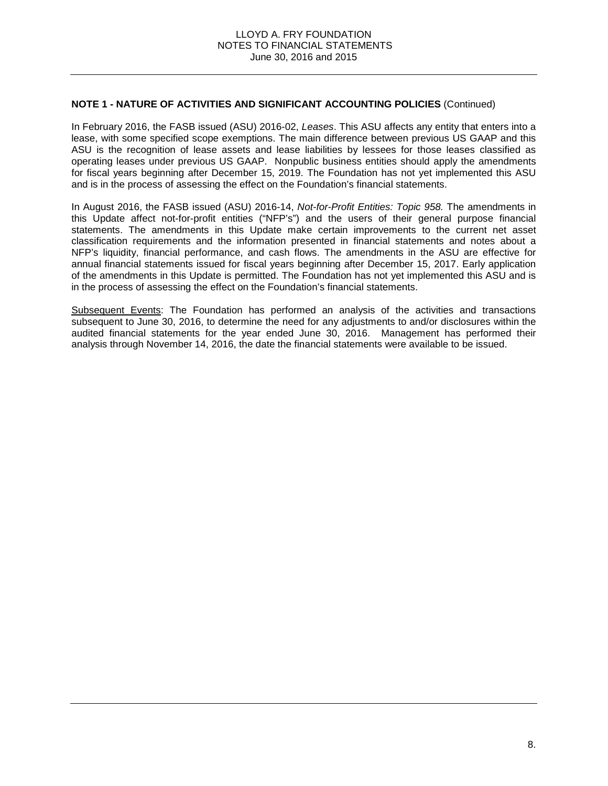### **NOTE 1 - NATURE OF ACTIVITIES AND SIGNIFICANT ACCOUNTING POLICIES** (Continued)

In February 2016, the FASB issued (ASU) 2016-02, *Leases*. This ASU affects any entity that enters into a lease, with some specified scope exemptions. The main difference between previous US GAAP and this ASU is the recognition of lease assets and lease liabilities by lessees for those leases classified as operating leases under previous US GAAP. Nonpublic business entities should apply the amendments for fiscal years beginning after December 15, 2019. The Foundation has not yet implemented this ASU and is in the process of assessing the effect on the Foundation's financial statements.

In August 2016, the FASB issued (ASU) 2016-14, *Not-for-Profit Entities: Topic 958.* The amendments in this Update affect not-for-profit entities ("NFP's") and the users of their general purpose financial statements. The amendments in this Update make certain improvements to the current net asset classification requirements and the information presented in financial statements and notes about a NFP's liquidity, financial performance, and cash flows. The amendments in the ASU are effective for annual financial statements issued for fiscal years beginning after December 15, 2017. Early application of the amendments in this Update is permitted. The Foundation has not yet implemented this ASU and is in the process of assessing the effect on the Foundation's financial statements.

Subsequent Events: The Foundation has performed an analysis of the activities and transactions subsequent to June 30, 2016, to determine the need for any adjustments to and/or disclosures within the audited financial statements for the year ended June 30, 2016. Management has performed their analysis through November 14, 2016, the date the financial statements were available to be issued.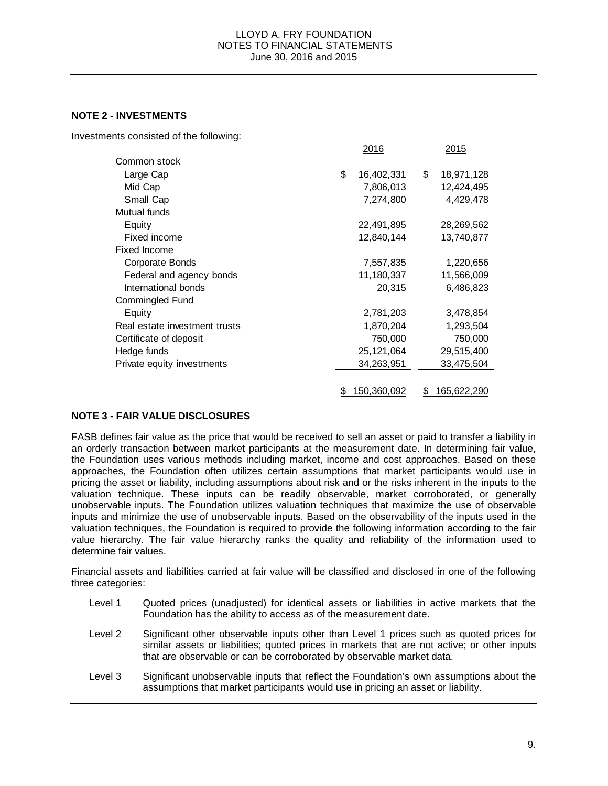### **NOTE 2 - INVESTMENTS**

Investments consisted of the following:

|                               |    | <u> 2016</u>       | <u> 2015</u>       |
|-------------------------------|----|--------------------|--------------------|
| Common stock                  |    |                    |                    |
| Large Cap                     | \$ | 16,402,331         | \$<br>18,971,128   |
| Mid Cap                       |    | 7,806,013          | 12,424,495         |
| Small Cap                     |    | 7,274,800          | 4,429,478          |
| Mutual funds                  |    |                    |                    |
| Equity                        |    | 22,491,895         | 28,269,562         |
| Fixed income                  |    | 12,840,144         | 13,740,877         |
| <b>Fixed Income</b>           |    |                    |                    |
| Corporate Bonds               |    | 7,557,835          | 1,220,656          |
| Federal and agency bonds      |    | 11,180,337         | 11,566,009         |
| International bonds           |    | 20,315             | 6,486,823          |
| <b>Commingled Fund</b>        |    |                    |                    |
| Equity                        |    | 2,781,203          | 3,478,854          |
| Real estate investment trusts |    | 1,870,204          | 1,293,504          |
| Certificate of deposit        |    | 750,000            | 750,000            |
| Hedge funds                   |    | 25,121,064         | 29,515,400         |
| Private equity investments    |    | 34,263,951         | 33,475,504         |
|                               |    |                    |                    |
|                               | S  | <u>150.360.092</u> | <u>165.622.290</u> |

#### **NOTE 3 - FAIR VALUE DISCLOSURES**

FASB defines fair value as the price that would be received to sell an asset or paid to transfer a liability in an orderly transaction between market participants at the measurement date. In determining fair value, the Foundation uses various methods including market, income and cost approaches. Based on these approaches, the Foundation often utilizes certain assumptions that market participants would use in pricing the asset or liability, including assumptions about risk and or the risks inherent in the inputs to the valuation technique. These inputs can be readily observable, market corroborated, or generally unobservable inputs. The Foundation utilizes valuation techniques that maximize the use of observable inputs and minimize the use of unobservable inputs. Based on the observability of the inputs used in the valuation techniques, the Foundation is required to provide the following information according to the fair value hierarchy. The fair value hierarchy ranks the quality and reliability of the information used to determine fair values.

Financial assets and liabilities carried at fair value will be classified and disclosed in one of the following three categories:

- Level 1 Quoted prices (unadjusted) for identical assets or liabilities in active markets that the Foundation has the ability to access as of the measurement date.
- Level 2 Significant other observable inputs other than Level 1 prices such as quoted prices for similar assets or liabilities; quoted prices in markets that are not active; or other inputs that are observable or can be corroborated by observable market data.
- Level 3 Significant unobservable inputs that reflect the Foundation's own assumptions about the assumptions that market participants would use in pricing an asset or liability.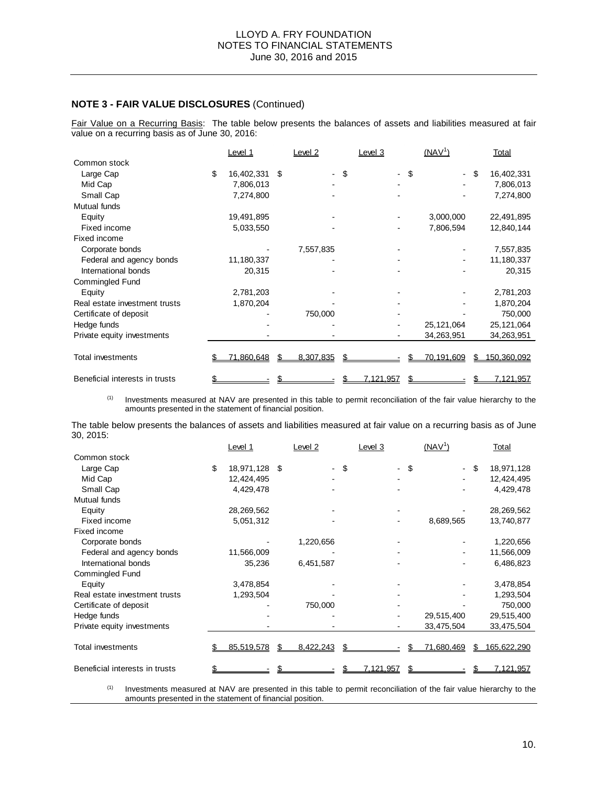Fair Value on a Recurring Basis: The table below presents the balances of assets and liabilities measured at fair value on a recurring basis as of June 30, 2016:

|                                | Level 1          | Level 2   | Level 3   | (NAV <sup>1</sup> )            |     | Total        |
|--------------------------------|------------------|-----------|-----------|--------------------------------|-----|--------------|
| Common stock                   |                  |           |           |                                |     |              |
| Large Cap                      | \$<br>16,402,331 | \$        | \$        | \$<br>$\overline{\phantom{0}}$ | \$  | 16,402,331   |
| Mid Cap                        | 7,806,013        |           |           |                                |     | 7,806,013    |
| Small Cap                      | 7,274,800        |           |           |                                |     | 7,274,800    |
| Mutual funds                   |                  |           |           |                                |     |              |
| Equity                         | 19,491,895       |           |           | 3,000,000                      |     | 22,491,895   |
| Fixed income                   | 5,033,550        |           |           | 7,806,594                      |     | 12,840,144   |
| Fixed income                   |                  |           |           |                                |     |              |
| Corporate bonds                |                  | 7,557,835 |           |                                |     | 7,557,835    |
| Federal and agency bonds       | 11,180,337       |           |           |                                |     | 11,180,337   |
| International bonds            | 20,315           |           |           |                                |     | 20,315       |
| Commingled Fund                |                  |           |           |                                |     |              |
| Equity                         | 2,781,203        |           |           |                                |     | 2,781,203    |
| Real estate investment trusts  | 1,870,204        |           |           |                                |     | 1,870,204    |
| Certificate of deposit         |                  | 750,000   |           |                                |     | 750,000      |
| Hedge funds                    |                  |           |           | 25, 121, 064                   |     | 25, 121, 064 |
| Private equity investments     |                  |           |           | 34,263,951                     |     | 34,263,951   |
|                                |                  |           |           |                                |     |              |
| <b>Total investments</b>       | 71.860.648       | 8.307.835 |           | <u>70.191.609</u>              | \$. | 150.360.092  |
|                                |                  |           |           |                                |     |              |
| Beneficial interests in trusts |                  |           | 7.121.95Z |                                |     | 7.121,957    |

(1) Investments measured at NAV are presented in this table to permit reconciliation of the fair value hierarchy to the amounts presented in the statement of financial position.

The table below presents the balances of assets and liabilities measured at fair value on a recurring basis as of June 30, 2015:

|                                | Level 1          | Level 2      |     | Level 3   | (NAV <sup>1</sup> )  |      | <b>Total</b> |
|--------------------------------|------------------|--------------|-----|-----------|----------------------|------|--------------|
| Common stock                   |                  |              |     |           |                      |      |              |
| Large Cap                      | \$<br>18,971,128 | \$<br>$\sim$ | -\$ |           | \$<br>$\blacksquare$ | - \$ | 18,971,128   |
| Mid Cap                        | 12,424,495       |              |     |           |                      |      | 12,424,495   |
| Small Cap                      | 4,429,478        |              |     |           |                      |      | 4,429,478    |
| Mutual funds                   |                  |              |     |           |                      |      |              |
| Equity                         | 28,269,562       |              |     |           |                      |      | 28,269,562   |
| Fixed income                   | 5,051,312        |              |     |           | 8,689,565            |      | 13,740,877   |
| Fixed income                   |                  |              |     |           |                      |      |              |
| Corporate bonds                |                  | 1,220,656    |     |           |                      |      | 1,220,656    |
| Federal and agency bonds       | 11,566,009       |              |     |           |                      |      | 11,566,009   |
| International bonds            | 35,236           | 6,451,587    |     |           |                      |      | 6,486,823    |
| Commingled Fund                |                  |              |     |           |                      |      |              |
| Equity                         | 3,478,854        |              |     |           |                      |      | 3,478,854    |
| Real estate investment trusts  | 1,293,504        |              |     |           |                      |      | 1,293,504    |
| Certificate of deposit         |                  | 750,000      |     |           |                      |      | 750,000      |
| Hedge funds                    |                  |              |     |           | 29,515,400           |      | 29,515,400   |
| Private equity investments     |                  |              |     |           | 33,475,504           |      | 33,475,504   |
|                                |                  |              |     |           |                      |      |              |
| <b>Total investments</b>       | 85.519.578       | 8,422,243    |     |           | <u>71.680.469</u>    | \$   | 165.622.290  |
|                                |                  |              |     |           |                      |      |              |
| Beneficial interests in trusts |                  |              |     | 7.121.957 |                      |      | 7.121.957    |

(1) Investments measured at NAV are presented in this table to permit reconciliation of the fair value hierarchy to the amounts presented in the statement of financial position.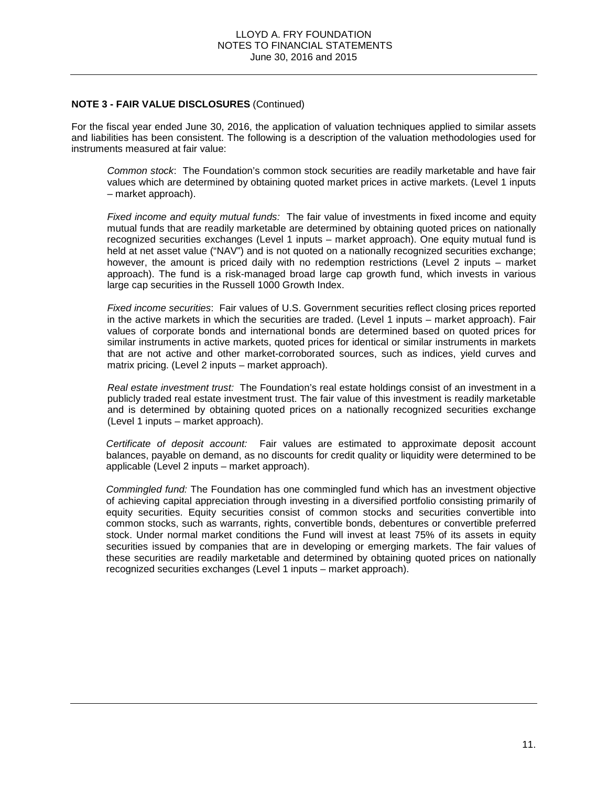For the fiscal year ended June 30, 2016, the application of valuation techniques applied to similar assets and liabilities has been consistent. The following is a description of the valuation methodologies used for instruments measured at fair value:

*Common stock*: The Foundation's common stock securities are readily marketable and have fair values which are determined by obtaining quoted market prices in active markets. (Level 1 inputs – market approach).

*Fixed income and equity mutual funds:* The fair value of investments in fixed income and equity mutual funds that are readily marketable are determined by obtaining quoted prices on nationally recognized securities exchanges (Level 1 inputs – market approach). One equity mutual fund is held at net asset value ("NAV") and is not quoted on a nationally recognized securities exchange; however, the amount is priced daily with no redemption restrictions (Level 2 inputs – market approach). The fund is a risk-managed broad large cap growth fund, which invests in various large cap securities in the Russell 1000 Growth Index.

*Fixed income securities*: Fair values of U.S. Government securities reflect closing prices reported in the active markets in which the securities are traded. (Level 1 inputs – market approach). Fair values of corporate bonds and international bonds are determined based on quoted prices for similar instruments in active markets, quoted prices for identical or similar instruments in markets that are not active and other market-corroborated sources, such as indices, yield curves and matrix pricing. (Level 2 inputs – market approach).

*Real estate investment trust:* The Foundation's real estate holdings consist of an investment in a publicly traded real estate investment trust. The fair value of this investment is readily marketable and is determined by obtaining quoted prices on a nationally recognized securities exchange (Level 1 inputs – market approach).

*Certificate of deposit account:* Fair values are estimated to approximate deposit account balances, payable on demand, as no discounts for credit quality or liquidity were determined to be applicable (Level 2 inputs – market approach).

*Commingled fund:* The Foundation has one commingled fund which has an investment objective of achieving capital appreciation through investing in a diversified portfolio consisting primarily of equity securities. Equity securities consist of common stocks and securities convertible into common stocks, such as warrants, rights, convertible bonds, debentures or convertible preferred stock. Under normal market conditions the Fund will invest at least 75% of its assets in equity securities issued by companies that are in developing or emerging markets. The fair values of these securities are readily marketable and determined by obtaining quoted prices on nationally recognized securities exchanges (Level 1 inputs – market approach).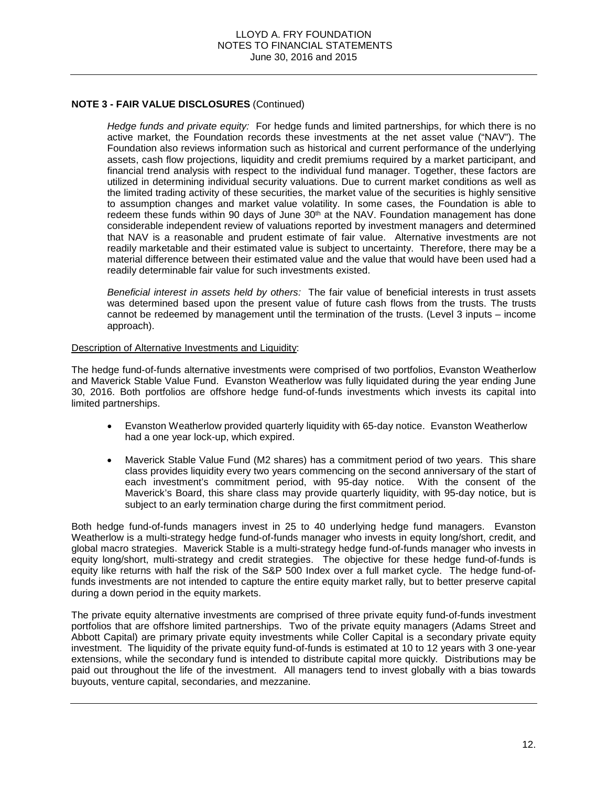*Hedge funds and private equity:* For hedge funds and limited partnerships, for which there is no active market, the Foundation records these investments at the net asset value ("NAV"). The Foundation also reviews information such as historical and current performance of the underlying assets, cash flow projections, liquidity and credit premiums required by a market participant, and financial trend analysis with respect to the individual fund manager. Together, these factors are utilized in determining individual security valuations. Due to current market conditions as well as the limited trading activity of these securities, the market value of the securities is highly sensitive to assumption changes and market value volatility. In some cases, the Foundation is able to redeem these funds within 90 days of June 30<sup>th</sup> at the NAV. Foundation management has done considerable independent review of valuations reported by investment managers and determined that NAV is a reasonable and prudent estimate of fair value. Alternative investments are not readily marketable and their estimated value is subject to uncertainty. Therefore, there may be a material difference between their estimated value and the value that would have been used had a readily determinable fair value for such investments existed.

*Beneficial interest in assets held by others:* The fair value of beneficial interests in trust assets was determined based upon the present value of future cash flows from the trusts. The trusts cannot be redeemed by management until the termination of the trusts. (Level 3 inputs – income approach).

#### Description of Alternative Investments and Liquidity:

The hedge fund-of-funds alternative investments were comprised of two portfolios, Evanston Weatherlow and Maverick Stable Value Fund. Evanston Weatherlow was fully liquidated during the year ending June 30, 2016. Both portfolios are offshore hedge fund-of-funds investments which invests its capital into limited partnerships.

- Evanston Weatherlow provided quarterly liquidity with 65-day notice. Evanston Weatherlow had a one year lock-up, which expired.
- Maverick Stable Value Fund (M2 shares) has a commitment period of two years. This share class provides liquidity every two years commencing on the second anniversary of the start of each investment's commitment period, with 95-day notice. With the consent of the Maverick's Board, this share class may provide quarterly liquidity, with 95-day notice, but is subject to an early termination charge during the first commitment period.

Both hedge fund-of-funds managers invest in 25 to 40 underlying hedge fund managers. Evanston Weatherlow is a multi-strategy hedge fund-of-funds manager who invests in equity long/short, credit, and global macro strategies. Maverick Stable is a multi-strategy hedge fund-of-funds manager who invests in equity long/short, multi-strategy and credit strategies. The objective for these hedge fund-of-funds is equity like returns with half the risk of the S&P 500 Index over a full market cycle. The hedge fund-offunds investments are not intended to capture the entire equity market rally, but to better preserve capital during a down period in the equity markets.

The private equity alternative investments are comprised of three private equity fund-of-funds investment portfolios that are offshore limited partnerships. Two of the private equity managers (Adams Street and Abbott Capital) are primary private equity investments while Coller Capital is a secondary private equity investment. The liquidity of the private equity fund-of-funds is estimated at 10 to 12 years with 3 one-year extensions, while the secondary fund is intended to distribute capital more quickly. Distributions may be paid out throughout the life of the investment. All managers tend to invest globally with a bias towards buyouts, venture capital, secondaries, and mezzanine.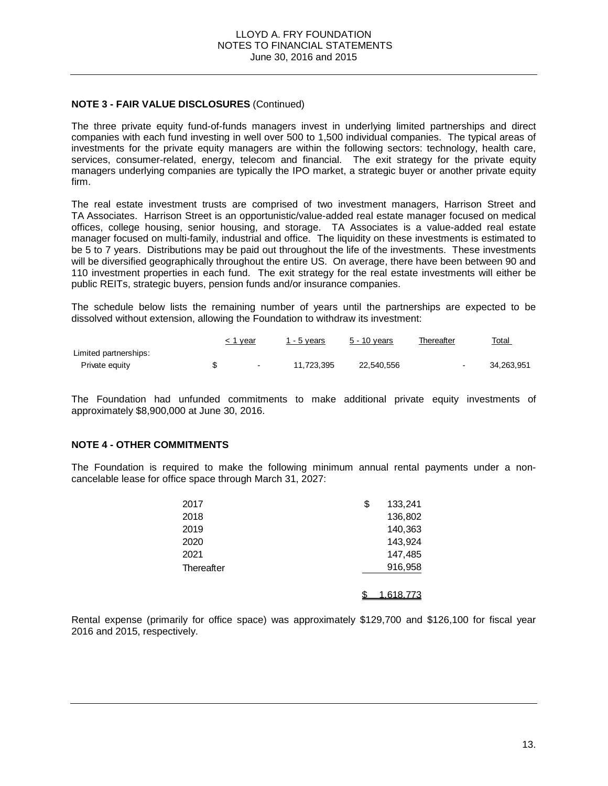The three private equity fund-of-funds managers invest in underlying limited partnerships and direct companies with each fund investing in well over 500 to 1,500 individual companies. The typical areas of investments for the private equity managers are within the following sectors: technology, health care, services, consumer-related, energy, telecom and financial. The exit strategy for the private equity managers underlying companies are typically the IPO market, a strategic buyer or another private equity firm.

The real estate investment trusts are comprised of two investment managers, Harrison Street and TA Associates. Harrison Street is an opportunistic/value-added real estate manager focused on medical offices, college housing, senior housing, and storage. TA Associates is a value-added real estate manager focused on multi-family, industrial and office. The liquidity on these investments is estimated to be 5 to 7 years. Distributions may be paid out throughout the life of the investments. These investments will be diversified geographically throughout the entire US. On average, there have been between 90 and 110 investment properties in each fund. The exit strategy for the real estate investments will either be public REITs, strategic buyers, pension funds and/or insurance companies.

The schedule below lists the remaining number of years until the partnerships are expected to be dissolved without extension, allowing the Foundation to withdraw its investment:

|                       | < 1 year | l - 5 vears | 5 - 10 vears | Thereafter |                | <b>Total</b> |
|-----------------------|----------|-------------|--------------|------------|----------------|--------------|
| Limited partnerships: |          |             |              |            |                |              |
| Private equity        | $\sim$   | 11.723.395  | 22.540.556   |            | $\blacksquare$ | 34.263.951   |

The Foundation had unfunded commitments to make additional private equity investments of approximately \$8,900,000 at June 30, 2016.

### **NOTE 4 - OTHER COMMITMENTS**

The Foundation is required to make the following minimum annual rental payments under a noncancelable lease for office space through March 31, 2027:

| 2017       | \$<br>133,241    |
|------------|------------------|
| 2018       | 136,802          |
| 2019       | 140,363          |
| 2020       | 143,924          |
| 2021       | 147,485          |
| Thereafter | 916,958          |
|            | <u>1.618.773</u> |

Rental expense (primarily for office space) was approximately \$129,700 and \$126,100 for fiscal year 2016 and 2015, respectively.